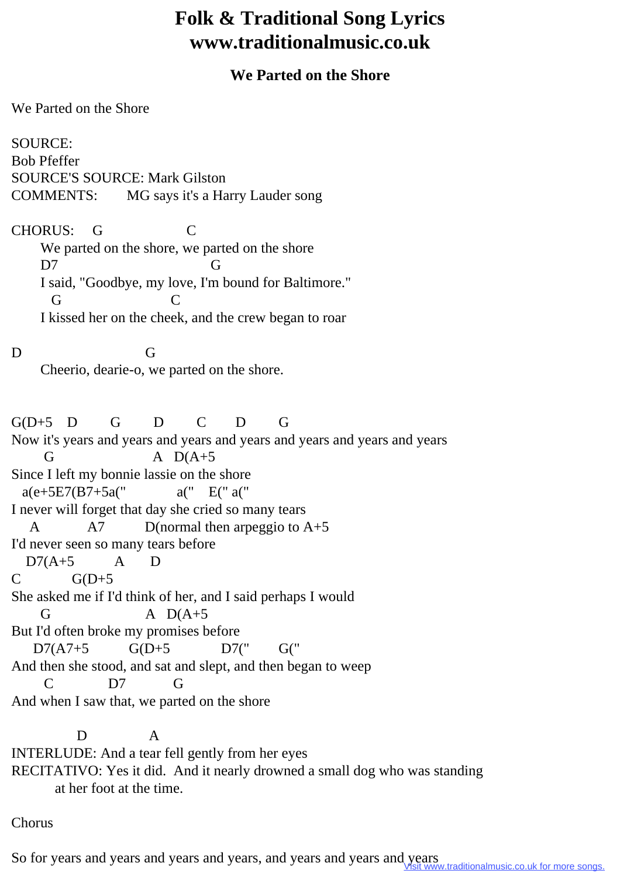## **Folk & Traditional Song Lyrics www.traditionalmusic.co.uk**

## **We Parted on the Shore**

We Parted on the Shore

SOURCE: Bob Pfeffer SOURCE'S SOURCE: Mark Gilston COMMENTS: MG says it's a Harry Lauder song

CHORUS: G C We parted on the shore, we parted on the shore D7 G I said, "Goodbye, my love, I'm bound for Baltimore." G C I kissed her on the cheek, and the crew began to roar

D G Cheerio, dearie-o, we parted on the shore.

 $G(D+5)$  D G D C D G Now it's years and years and years and years and years and years and years G  $A D(A+5)$ Since I left my bonnie lassie on the shore  $a(e+5E7(B7+5a''' \ a'' \ E'' a''')$ I never will forget that day she cried so many tears A  $A$   $A$ 7 D(normal then arpeggio to  $A + 5$ I'd never seen so many tears before  $D7(A+5$  A D  $C$   $G(D+5)$ She asked me if I'd think of her, and I said perhaps I would G  $A D(A+5)$ But I'd often broke my promises before D7(A7+5 G(D+5 D7(" G(" And then she stood, and sat and slept, and then began to weep C D7 G And when I saw that, we parted on the shore

 D A INTERLUDE: And a tear fell gently from her eyes RECITATIVO: Yes it did. And it nearly drowned a small dog who was standing at her foot at the time.

Chorus

So for years and years and years and years, and years and years and years w.traditionalmusic.co.uk for more songs.